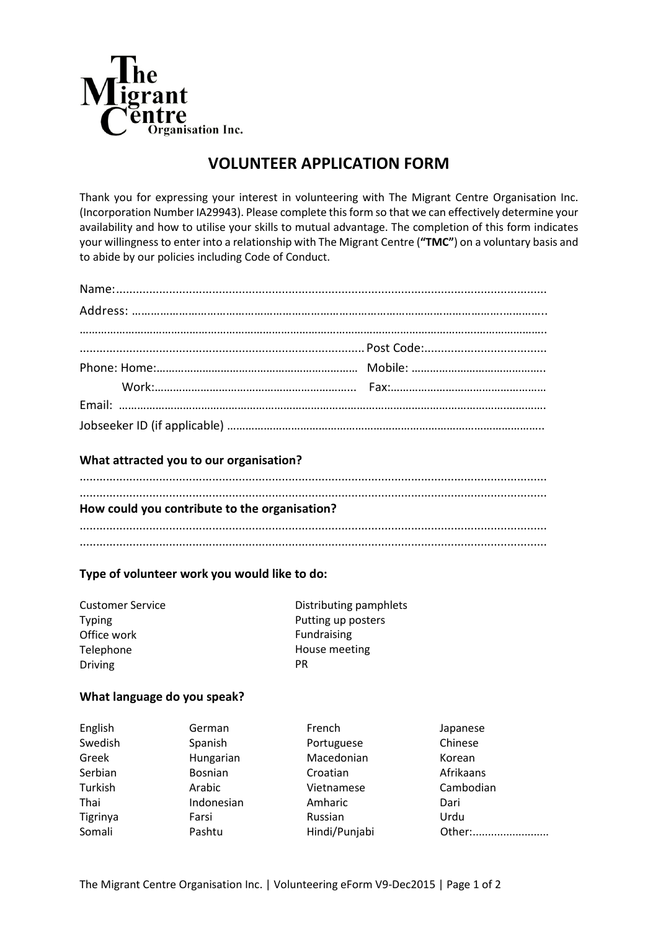

## **VOLUNTEER APPLICATION FORM**

Thank you for expressing your interest in volunteering with The Migrant Centre Organisation Inc. (Incorporation Number IA29943). Please complete this form so that we can effectively determine your availability and how to utilise your skills to mutual advantage. The completion of this form indicates your willingness to enter into a relationship with The Migrant Centre (**"TMC"**) on a voluntary basis and to abide by our policies including Code of Conduct.

## **What attracted you to our organisation?**

|  | How could you contribute to the organisation? |  |  |
|--|-----------------------------------------------|--|--|
|  |                                               |  |  |

## **Type of volunteer work you would like to do:**

| <b>Customer Service</b> | Distributing pamphlets |  |
|-------------------------|------------------------|--|
| Typing                  | Putting up posters     |  |
| Office work             | Fundraising            |  |
| Telephone               | House meeting          |  |
| <b>Driving</b>          | РR                     |  |

## **What language do you speak?**

| English  | German         | French        | Japanese  |
|----------|----------------|---------------|-----------|
| Swedish  | Spanish        | Portuguese    | Chinese   |
| Greek    | Hungarian      | Macedonian    | Korean    |
| Serbian  | <b>Bosnian</b> | Croatian      | Afrikaans |
| Turkish  | Arabic         | Vietnamese    | Cambodian |
| Thai     | Indonesian     | Amharic       | Dari      |
| Tigrinya | Farsi          | Russian       | Urdu      |
| Somali   | Pashtu         | Hindi/Punjabi | Other:    |